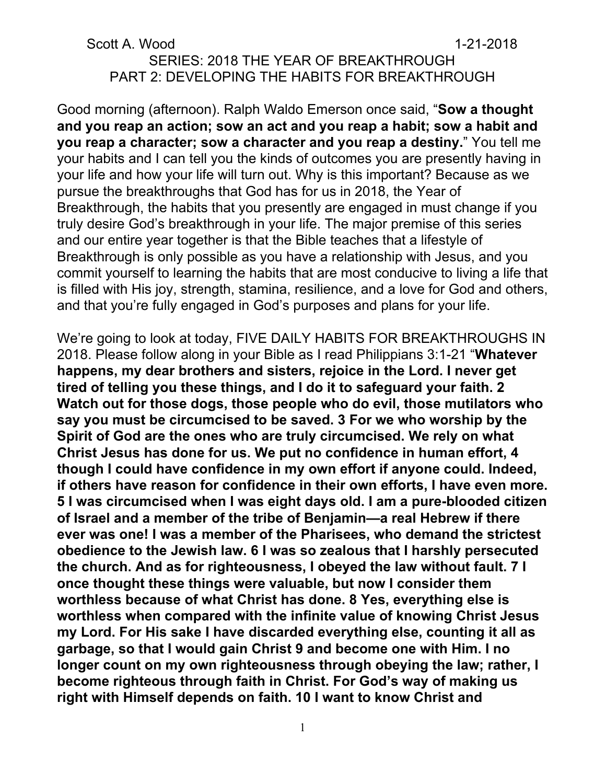### Scott A. Wood 1-21-2018 SERIES: 2018 THE YEAR OF BREAKTHROUGH PART 2: DEVELOPING THE HABITS FOR BREAKTHROUGH

Good morning (afternoon). Ralph Waldo Emerson once said, "**Sow a thought and you reap an action; sow an act and you reap a habit; sow a habit and you reap a character; sow a character and you reap a destiny.**" You tell me your habits and I can tell you the kinds of outcomes you are presently having in your life and how your life will turn out. Why is this important? Because as we pursue the breakthroughs that God has for us in 2018, the Year of Breakthrough, the habits that you presently are engaged in must change if you truly desire God's breakthrough in your life. The major premise of this series and our entire year together is that the Bible teaches that a lifestyle of Breakthrough is only possible as you have a relationship with Jesus, and you commit yourself to learning the habits that are most conducive to living a life that is filled with His joy, strength, stamina, resilience, and a love for God and others, and that you're fully engaged in God's purposes and plans for your life.

We're going to look at today, FIVE DAILY HABITS FOR BREAKTHROUGHS IN 2018. Please follow along in your Bible as I read Philippians 3:1-21 "**Whatever happens, my dear brothers and sisters, rejoice in the Lord. I never get tired of telling you these things, and I do it to safeguard your faith. 2 Watch out for those dogs, those people who do evil, those mutilators who say you must be circumcised to be saved. 3 For we who worship by the Spirit of God are the ones who are truly circumcised. We rely on what Christ Jesus has done for us. We put no confidence in human effort, 4 though I could have confidence in my own effort if anyone could. Indeed, if others have reason for confidence in their own efforts, I have even more. 5 I was circumcised when I was eight days old. I am a pure-blooded citizen of Israel and a member of the tribe of Benjamin—a real Hebrew if there ever was one! I was a member of the Pharisees, who demand the strictest obedience to the Jewish law. 6 I was so zealous that I harshly persecuted the church. And as for righteousness, I obeyed the law without fault. 7 I once thought these things were valuable, but now I consider them worthless because of what Christ has done. 8 Yes, everything else is worthless when compared with the infinite value of knowing Christ Jesus my Lord. For His sake I have discarded everything else, counting it all as garbage, so that I would gain Christ 9 and become one with Him. I no longer count on my own righteousness through obeying the law; rather, I become righteous through faith in Christ. For God's way of making us right with Himself depends on faith. 10 I want to know Christ and**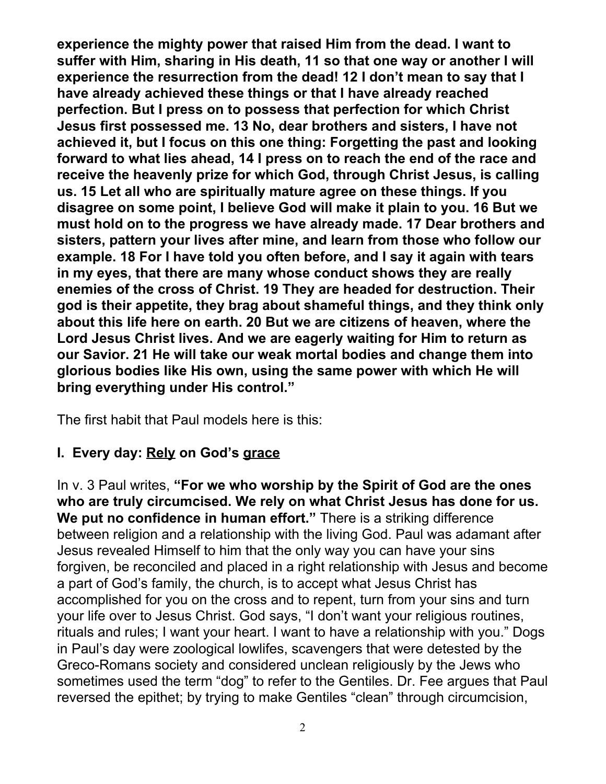**experience the mighty power that raised Him from the dead. I want to suffer with Him, sharing in His death, 11 so that one way or another I will experience the resurrection from the dead! 12 I don't mean to say that I have already achieved these things or that I have already reached perfection. But I press on to possess that perfection for which Christ Jesus first possessed me. 13 No, dear brothers and sisters, I have not achieved it, but I focus on this one thing: Forgetting the past and looking forward to what lies ahead, 14 I press on to reach the end of the race and receive the heavenly prize for which God, through Christ Jesus, is calling us. 15 Let all who are spiritually mature agree on these things. If you disagree on some point, I believe God will make it plain to you. 16 But we must hold on to the progress we have already made. 17 Dear brothers and sisters, pattern your lives after mine, and learn from those who follow our example. 18 For I have told you often before, and I say it again with tears in my eyes, that there are many whose conduct shows they are really enemies of the cross of Christ. 19 They are headed for destruction. Their god is their appetite, they brag about shameful things, and they think only about this life here on earth. 20 But we are citizens of heaven, where the Lord Jesus Christ lives. And we are eagerly waiting for Him to return as our Savior. 21 He will take our weak mortal bodies and change them into glorious bodies like His own, using the same power with which He will bring everything under His control."**

The first habit that Paul models here is this:

### **I. Every day: Rely on God's grace**

In v. 3 Paul writes, **"For we who worship by the Spirit of God are the ones who are truly circumcised. We rely on what Christ Jesus has done for us. We put no confidence in human effort."** There is a striking difference between religion and a relationship with the living God. Paul was adamant after Jesus revealed Himself to him that the only way you can have your sins forgiven, be reconciled and placed in a right relationship with Jesus and become a part of God's family, the church, is to accept what Jesus Christ has accomplished for you on the cross and to repent, turn from your sins and turn your life over to Jesus Christ. God says, "I don't want your religious routines, rituals and rules; I want your heart. I want to have a relationship with you." Dogs in Paul's day were zoological lowlifes, scavengers that were detested by the Greco-Romans society and considered unclean religiously by the Jews who sometimes used the term "dog" to refer to the Gentiles. Dr. Fee argues that Paul reversed the epithet; by trying to make Gentiles "clean" through circumcision,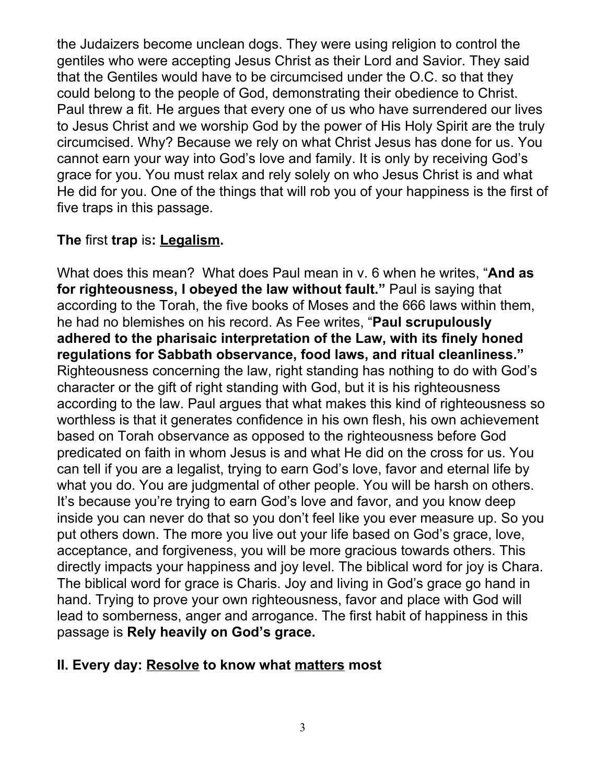the Judaizers become unclean dogs. They were using religion to control the gentiles who were accepting Jesus Christ as their Lord and Savior. They said that the Gentiles would have to be circumcised under the O.C. so that they could belong to the people of God, demonstrating their obedience to Christ. Paul threw a fit. He argues that every one of us who have surrendered our lives to Jesus Christ and we worship God by the power of His Holy Spirit are the truly circumcised. Why? Because we rely on what Christ Jesus has done for us. You cannot earn your way into God's love and family. It is only by receiving God's grace for you. You must relax and rely solely on who Jesus Christ is and what He did for you. One of the things that will rob you of your happiness is the first of five traps in this passage.

### **The** first **trap** is**: Legalism.**

What does this mean? What does Paul mean in v. 6 when he writes, "**And as for righteousness, I obeyed the law without fault."** Paul is saying that according to the Torah, the five books of Moses and the 666 laws within them, he had no blemishes on his record. As Fee writes, "**Paul scrupulously adhered to the pharisaic interpretation of the Law, with its finely honed regulations for Sabbath observance, food laws, and ritual cleanliness."** Righteousness concerning the law, right standing has nothing to do with God's character or the gift of right standing with God, but it is his righteousness according to the law. Paul argues that what makes this kind of righteousness so worthless is that it generates confidence in his own flesh, his own achievement based on Torah observance as opposed to the righteousness before God predicated on faith in whom Jesus is and what He did on the cross for us. You can tell if you are a legalist, trying to earn God's love, favor and eternal life by what you do. You are judgmental of other people. You will be harsh on others. It's because you're trying to earn God's love and favor, and you know deep inside you can never do that so you don't feel like you ever measure up. So you put others down. The more you live out your life based on God's grace, love, acceptance, and forgiveness, you will be more gracious towards others. This directly impacts your happiness and joy level. The biblical word for joy is Chara. The biblical word for grace is Charis. Joy and living in God's grace go hand in hand. Trying to prove your own righteousness, favor and place with God will lead to somberness, anger and arrogance. The first habit of happiness in this passage is **Rely heavily on God's grace.**

### **II. Every day: Resolve to know what matters most**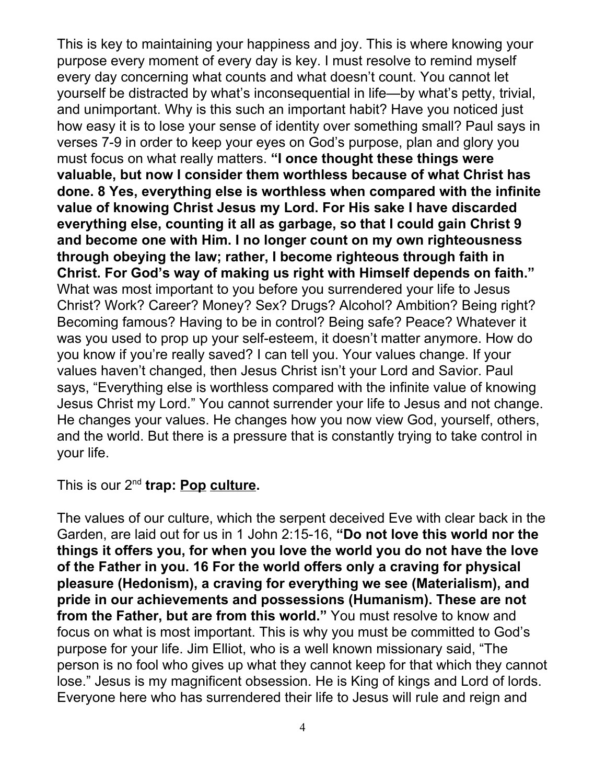This is key to maintaining your happiness and joy. This is where knowing your purpose every moment of every day is key. I must resolve to remind myself every day concerning what counts and what doesn't count. You cannot let yourself be distracted by what's inconsequential in life—by what's petty, trivial, and unimportant. Why is this such an important habit? Have you noticed just how easy it is to lose your sense of identity over something small? Paul says in verses 7-9 in order to keep your eyes on God's purpose, plan and glory you must focus on what really matters. **"I once thought these things were valuable, but now I consider them worthless because of what Christ has done. 8 Yes, everything else is worthless when compared with the infinite value of knowing Christ Jesus my Lord. For His sake I have discarded everything else, counting it all as garbage, so that I could gain Christ 9 and become one with Him. I no longer count on my own righteousness through obeying the law; rather, I become righteous through faith in Christ. For God's way of making us right with Himself depends on faith."** What was most important to you before you surrendered your life to Jesus Christ? Work? Career? Money? Sex? Drugs? Alcohol? Ambition? Being right? Becoming famous? Having to be in control? Being safe? Peace? Whatever it was you used to prop up your self-esteem, it doesn't matter anymore. How do you know if you're really saved? I can tell you. Your values change. If your values haven't changed, then Jesus Christ isn't your Lord and Savior. Paul says, "Everything else is worthless compared with the infinite value of knowing Jesus Christ my Lord." You cannot surrender your life to Jesus and not change. He changes your values. He changes how you now view God, yourself, others, and the world. But there is a pressure that is constantly trying to take control in your life.

This is our 2 nd **trap: Pop culture.**

The values of our culture, which the serpent deceived Eve with clear back in the Garden, are laid out for us in 1 John 2:15-16, **"Do not love this world nor the things it offers you, for when you love the world you do not have the love of the Father in you. 16 For the world offers only a craving for physical pleasure (Hedonism), a craving for everything we see (Materialism), and pride in our achievements and possessions (Humanism). These are not from the Father, but are from this world."** You must resolve to know and focus on what is most important. This is why you must be committed to God's purpose for your life. Jim Elliot, who is a well known missionary said, "The person is no fool who gives up what they cannot keep for that which they cannot lose." Jesus is my magnificent obsession. He is King of kings and Lord of lords. Everyone here who has surrendered their life to Jesus will rule and reign and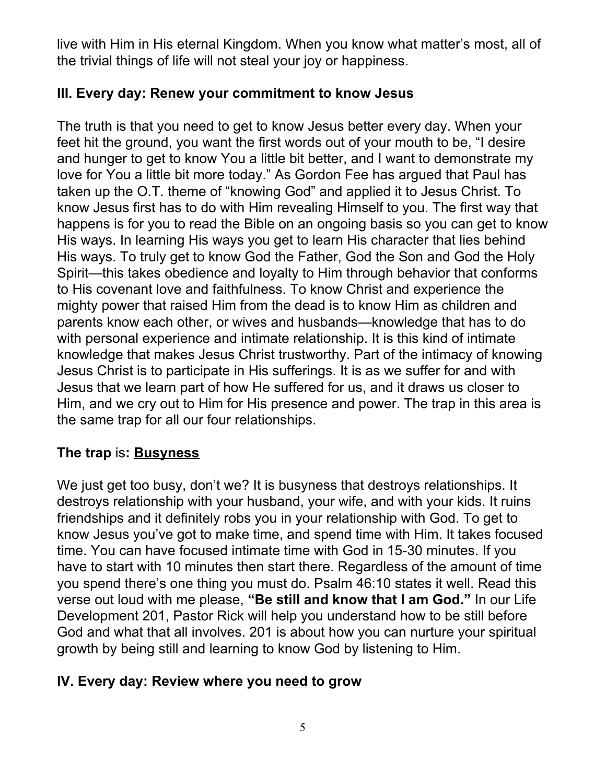live with Him in His eternal Kingdom. When you know what matter's most, all of the trivial things of life will not steal your joy or happiness.

# **III. Every day: Renew your commitment to know Jesus**

The truth is that you need to get to know Jesus better every day. When your feet hit the ground, you want the first words out of your mouth to be, "I desire and hunger to get to know You a little bit better, and I want to demonstrate my love for You a little bit more today." As Gordon Fee has argued that Paul has taken up the O.T. theme of "knowing God" and applied it to Jesus Christ. To know Jesus first has to do with Him revealing Himself to you. The first way that happens is for you to read the Bible on an ongoing basis so you can get to know His ways. In learning His ways you get to learn His character that lies behind His ways. To truly get to know God the Father, God the Son and God the Holy Spirit—this takes obedience and loyalty to Him through behavior that conforms to His covenant love and faithfulness. To know Christ and experience the mighty power that raised Him from the dead is to know Him as children and parents know each other, or wives and husbands—knowledge that has to do with personal experience and intimate relationship. It is this kind of intimate knowledge that makes Jesus Christ trustworthy. Part of the intimacy of knowing Jesus Christ is to participate in His sufferings. It is as we suffer for and with Jesus that we learn part of how He suffered for us, and it draws us closer to Him, and we cry out to Him for His presence and power. The trap in this area is the same trap for all our four relationships.

## **The trap** is**: Busyness**

We just get too busy, don't we? It is busyness that destroys relationships. It destroys relationship with your husband, your wife, and with your kids. It ruins friendships and it definitely robs you in your relationship with God. To get to know Jesus you've got to make time, and spend time with Him. It takes focused time. You can have focused intimate time with God in 15-30 minutes. If you have to start with 10 minutes then start there. Regardless of the amount of time you spend there's one thing you must do. Psalm 46:10 states it well. Read this verse out loud with me please, **"Be still and know that I am God."** In our Life Development 201, Pastor Rick will help you understand how to be still before God and what that all involves. 201 is about how you can nurture your spiritual growth by being still and learning to know God by listening to Him.

## **IV. Every day: Review where you need to grow**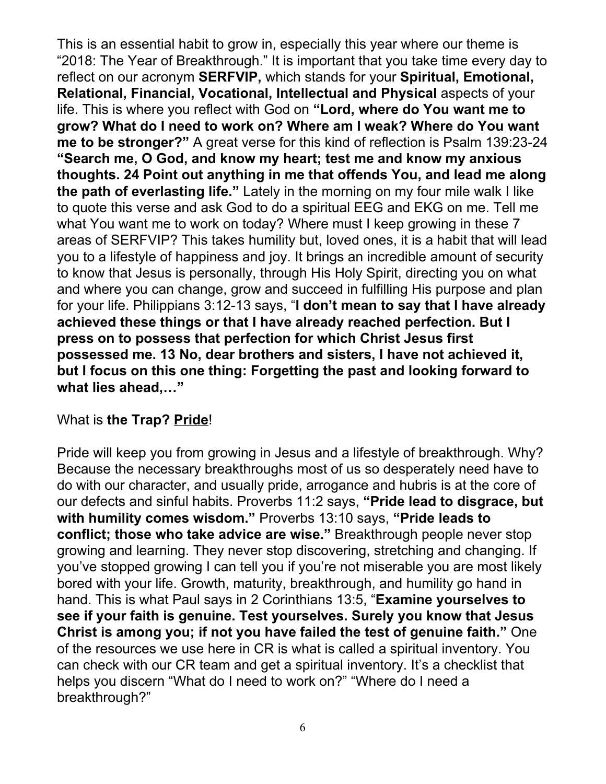This is an essential habit to grow in, especially this year where our theme is "2018: The Year of Breakthrough." It is important that you take time every day to reflect on our acronym **SERFVIP,** which stands for your **Spiritual, Emotional, Relational, Financial, Vocational, Intellectual and Physical** aspects of your life. This is where you reflect with God on **"Lord, where do You want me to grow? What do I need to work on? Where am I weak? Where do You want me to be stronger?"** A great verse for this kind of reflection is Psalm 139:23-24 **"Search me, O God, and know my heart; test me and know my anxious thoughts. 24 Point out anything in me that offends You, and lead me along the path of everlasting life."** Lately in the morning on my four mile walk I like to quote this verse and ask God to do a spiritual EEG and EKG on me. Tell me what You want me to work on today? Where must I keep growing in these 7 areas of SERFVIP? This takes humility but, loved ones, it is a habit that will lead you to a lifestyle of happiness and joy. It brings an incredible amount of security to know that Jesus is personally, through His Holy Spirit, directing you on what and where you can change, grow and succeed in fulfilling His purpose and plan for your life. Philippians 3:12-13 says, "**I don't mean to say that I have already achieved these things or that I have already reached perfection. But I press on to possess that perfection for which Christ Jesus first possessed me. 13 No, dear brothers and sisters, I have not achieved it, but I focus on this one thing: Forgetting the past and looking forward to what lies ahead,…"**

### What is **the Trap? Pride**!

Pride will keep you from growing in Jesus and a lifestyle of breakthrough. Why? Because the necessary breakthroughs most of us so desperately need have to do with our character, and usually pride, arrogance and hubris is at the core of our defects and sinful habits. Proverbs 11:2 says, **"Pride lead to disgrace, but with humility comes wisdom."** Proverbs 13:10 says, **"Pride leads to conflict; those who take advice are wise."** Breakthrough people never stop growing and learning. They never stop discovering, stretching and changing. If you've stopped growing I can tell you if you're not miserable you are most likely bored with your life. Growth, maturity, breakthrough, and humility go hand in hand. This is what Paul says in 2 Corinthians 13:5, "**Examine yourselves to see if your faith is genuine. Test yourselves. Surely you know that Jesus Christ is among you; if not you have failed the test of genuine faith."** One of the resources we use here in CR is what is called a spiritual inventory. You can check with our CR team and get a spiritual inventory. It's a checklist that helps you discern "What do I need to work on?" "Where do I need a breakthrough?"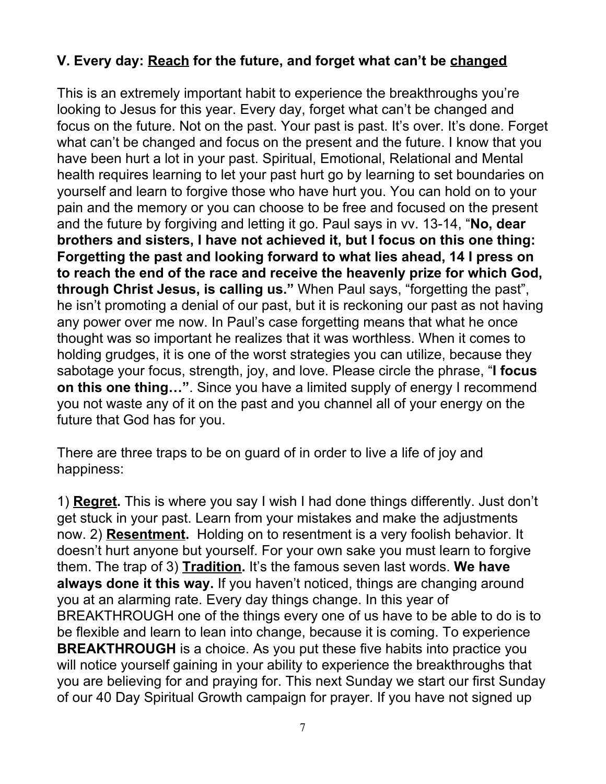# **V. Every day: Reach for the future, and forget what can't be changed**

This is an extremely important habit to experience the breakthroughs you're looking to Jesus for this year. Every day, forget what can't be changed and focus on the future. Not on the past. Your past is past. It's over. It's done. Forget what can't be changed and focus on the present and the future. I know that you have been hurt a lot in your past. Spiritual, Emotional, Relational and Mental health requires learning to let your past hurt go by learning to set boundaries on yourself and learn to forgive those who have hurt you. You can hold on to your pain and the memory or you can choose to be free and focused on the present and the future by forgiving and letting it go. Paul says in vv. 13-14, "**No, dear brothers and sisters, I have not achieved it, but I focus on this one thing: Forgetting the past and looking forward to what lies ahead, 14 I press on to reach the end of the race and receive the heavenly prize for which God, through Christ Jesus, is calling us."** When Paul says, "forgetting the past", he isn't promoting a denial of our past, but it is reckoning our past as not having any power over me now. In Paul's case forgetting means that what he once thought was so important he realizes that it was worthless. When it comes to holding grudges, it is one of the worst strategies you can utilize, because they sabotage your focus, strength, joy, and love. Please circle the phrase, "**I focus on this one thing…"**. Since you have a limited supply of energy I recommend you not waste any of it on the past and you channel all of your energy on the future that God has for you.

There are three traps to be on guard of in order to live a life of joy and happiness:

1) **Regret.** This is where you say I wish I had done things differently. Just don't get stuck in your past. Learn from your mistakes and make the adjustments now. 2) **Resentment.** Holding on to resentment is a very foolish behavior. It doesn't hurt anyone but yourself. For your own sake you must learn to forgive them. The trap of 3) **Tradition.** It's the famous seven last words. **We have always done it this way.** If you haven't noticed, things are changing around you at an alarming rate. Every day things change. In this year of BREAKTHROUGH one of the things every one of us have to be able to do is to be flexible and learn to lean into change, because it is coming. To experience **BREAKTHROUGH** is a choice. As you put these five habits into practice you will notice yourself gaining in your ability to experience the breakthroughs that you are believing for and praying for. This next Sunday we start our first Sunday of our 40 Day Spiritual Growth campaign for prayer. If you have not signed up